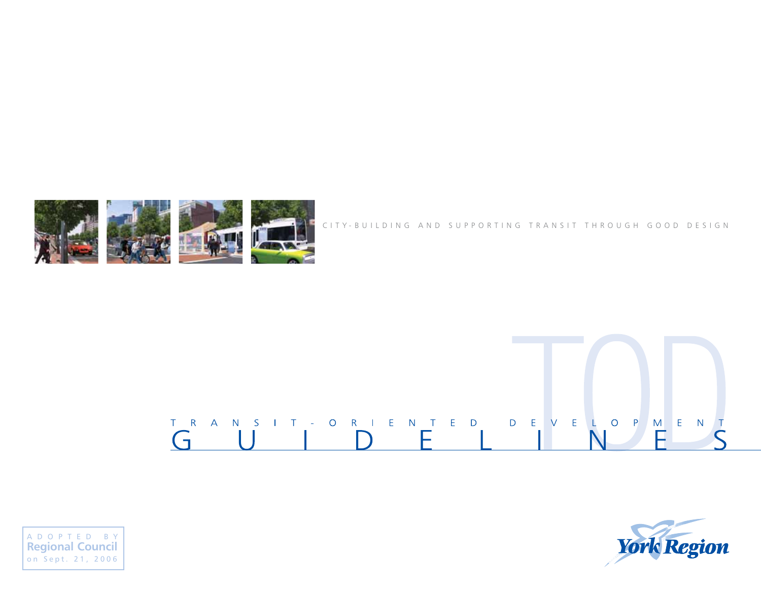







CITY-BUILDING AND SUPPORTING TRANSIT THROUGH GOOD DESIGN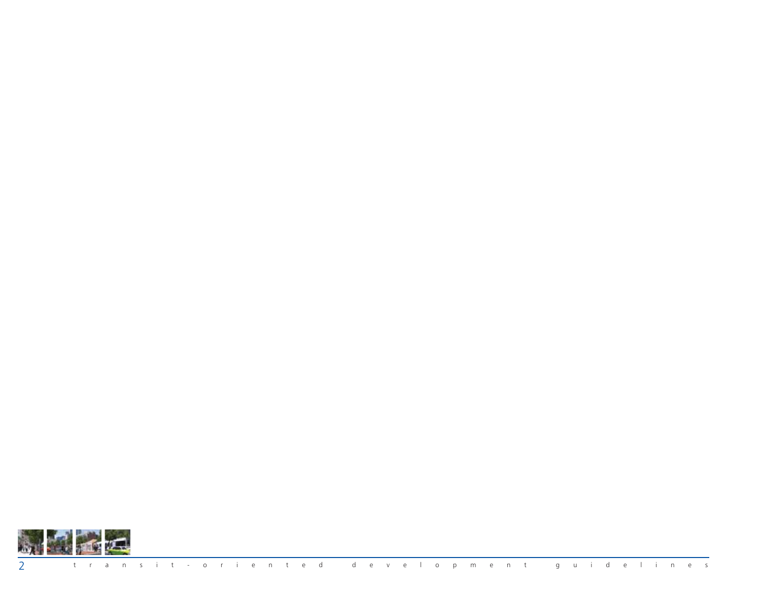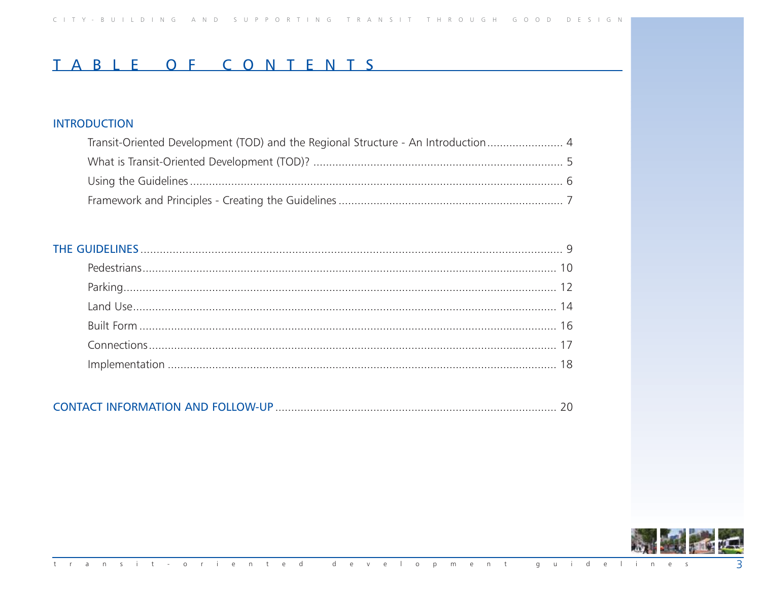# TABLE OF CONTENTS

#### **INTRODUCTION**

| Transit-Oriented Development (TOD) and the Regional Structure - An Introduction 4 |  |
|-----------------------------------------------------------------------------------|--|
|                                                                                   |  |
|                                                                                   |  |
|                                                                                   |  |

|--|--|

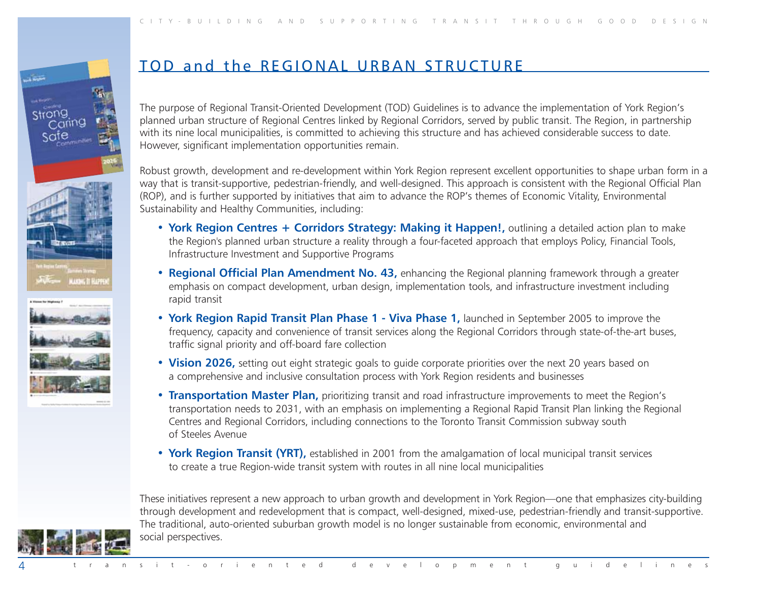







# TOD and the REGIONAL URBAN STRUCTURE

The purpose of Regional Transit-Oriented Development (TOD) Guidelines is to advance the implementation of York Region's planned urban structure of Regional Centres linked by Regional Corridors, served by public transit. The Region, in partnership with its nine local municipalities, is committed to achieving this structure and has achieved considerable success to date. However, significant implementation opportunities remain.

Robust growth, development and re-development within York Region represent excellent opportunities to shape urban form in a way that is transit-supportive, pedestrian-friendly, and well-designed. This approach is consistent with the Regional Official Plan (ROP), and is further supported by initiatives that aim to advance the ROP's themes of Economic Vitality, Environmental Sustainability and Healthy Communities, including:

- **• York Region Centres + Corridors Strategy: Making it Happen!,** outlining a detailed action plan to make the Region's planned urban structure a reality through a four-faceted approach that employs Policy, Financial Tools, Infrastructure Investment and Supportive Programs
- **• Regional Official Plan Amendment No. 43,** enhancing the Regional planning framework through a greater emphasis on compact development, urban design, implementation tools, and infrastructure investment including rapid transit
- **• York Region Rapid Transit Plan Phase 1 Viva Phase 1,** launched in September 2005 to improve the frequency, capacity and convenience of transit services along the Regional Corridors through state-of-the-art buses, traffic signal priority and off-board fare collection
- **• Vision 2026,** setting out eight strategic goals to guide corporate priorities over the next 20 years based on a comprehensive and inclusive consultation process with York Region residents and businesses
- **• Transportation Master Plan,** prioritizing transit and road infrastructure improvements to meet the Region's transportation needs to 2031, with an emphasis on implementing a Regional Rapid Transit Plan linking the Regional Centres and Regional Corridors, including connections to the Toronto Transit Commission subway south of Steeles Avenue
- **• York Region Transit (YRT),** established in 2001 from the amalgamation of local municipal transit services to create a true Region-wide transit system with routes in all nine local municipalities

These initiatives represent a new approach to urban growth and development in York Region—one that emphasizes city-building through development and redevelopment that is compact, well-designed, mixed-use, pedestrian-friendly and transit-supportive. The traditional, auto-oriented suburban growth model is no longer sustainable from economic, environmental and social perspectives.

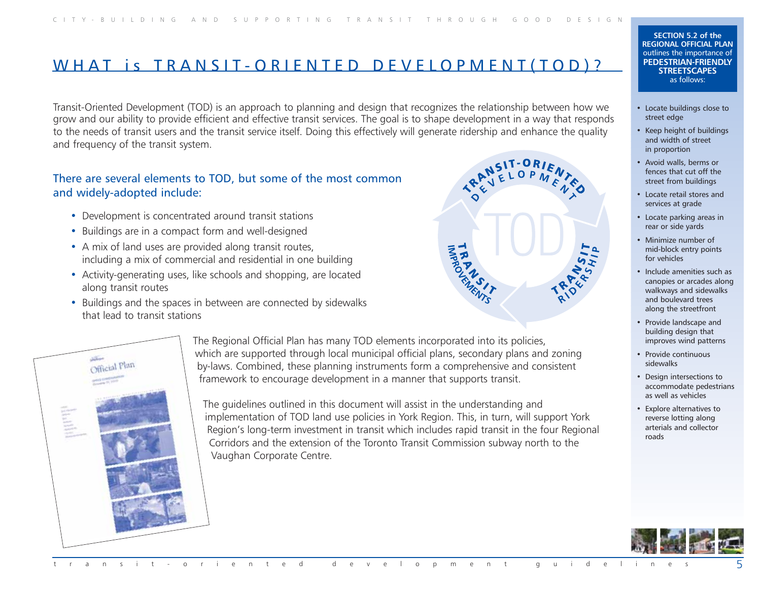# WHAT is TRANSIT-ORIENTED DEVELOPMENT(TOD)?

Transit-Oriented Development (TOD) is an approach to planning and design that recognizes the relationship between how we grow and our ability to provide efficient and effective transit services. The goal is to shape development in a way that responds to the needs of transit users and the transit service itself. Doing this effectively will generate ridership and enhance the quality and frequency of the transit system.

## There are several elements to TOD, but some of the most common and widely-adopted include:

- Development is concentrated around transit stations
- Buildings are in a compact form and well-designed
- A mix of land uses are provided along transit routes, including a mix of commercial and residential in one building
- Activity-generating uses, like schools and shopping, are located along transit routes
- Buildings and the spaces in between are connected by sidewalks that lead to transit stations





The Regional Official Plan has many TOD elements incorporated into its policies, which are supported through local municipal official plans, secondary plans and zoning by-laws. Combined, these planning instruments form a comprehensive and consistent framework to encourage development in a manner that supports transit.

The guidelines outlined in this document will assist in the understanding and implementation of TOD land use policies in York Region. This, in turn, will support York Region's long-term investment in transit which includes rapid transit in the four Regional Corridors and the extension of the Toronto Transit Commission subway north to the Vaughan Corporate Centre.

**SECTION 5.2 of the REGIONAL OFFICIAL PLAN** outlines the importance of **PEDESTRIAN-FRIENDLY STREETSCAPES** as follows:

- Locate buildings close to street edge
- Keep height of buildings and width of street in proportion
- Avoid walls, berms or fences that cut off the street from buildings
- Locate retail stores and services at grade
- Locate parking areas in rear or side yards
- Minimize number of mid-block entry points for vehicles
- Include amenities such as canopies or arcades along walkways and sidewalks and boulevard trees along the streetfront
- Provide landscape and building design that improves wind patterns
- Provide continuous sidewalks
- Design intersections to accommodate pedestrians as well as vehicles
- Explore alternatives to reverse lotting along arterials and collector roads

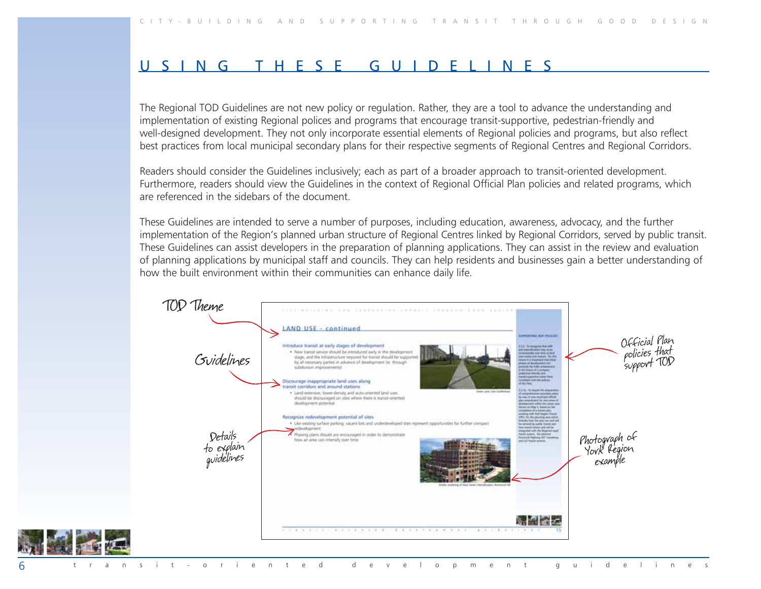# USING THESE GUIDELINES

The Regional TOD Guidelines are not new policy or regulation. Rather, they are a tool to advance the understanding and implementation of existing Regional polices and programs that encourage transit-supportive, pedestrian-friendly and well-designed development. They not only incorporate essential elements of Regional policies and programs, but also reflect best practices from local municipal secondary plans for their respective segments of Regional Centres and Regional Corridors.

Readers should consider the Guidelines inclusively; each as part of a broader approach to transit-oriented development. Furthermore, readers should view the Guidelines in the context of Regional Official Plan policies and related programs, which are referenced in the sidebars of the document.

These Guidelines are intended to serve a number of purposes, including education, awareness, advocacy, and the further implementation of the Region's planned urban structure of Regional Centres linked by Regional Corridors, served by public transit. These Guidelines can assist developers in the preparation of planning applications. They can assist in the review and evaluation of planning applications by municipal staff and councils. They can help residents and businesses gain a better understanding of how the built environment within their communities can enhance daily life.

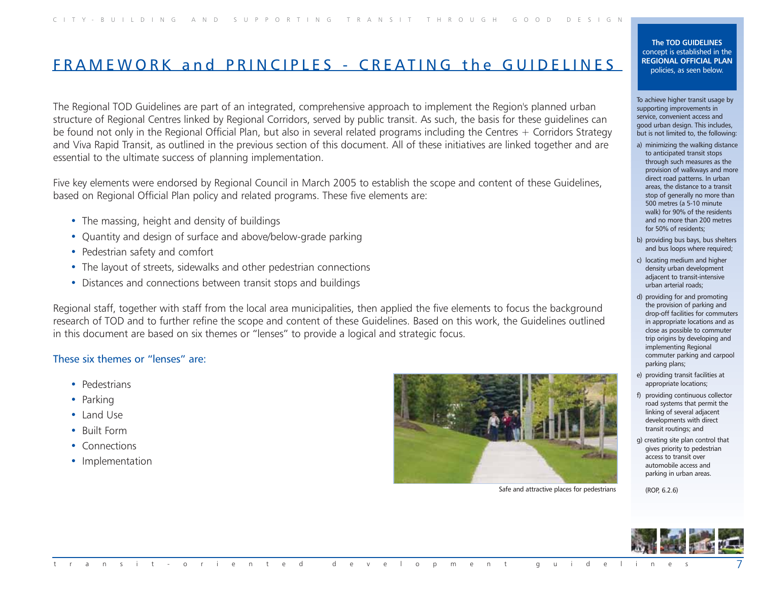# FRAMEWORK and PRINCIPLES - CREATING the GUIDELINES

The Regional TOD Guidelines are part of an integrated, comprehensive approach to implement the Region's planned urban structure of Regional Centres linked by Regional Corridors, served by public transit. As such, the basis for these guidelines can be found not only in the Regional Official Plan, but also in several related programs including the Centres + Corridors Strateg y and Viva Rapid Transit, as outlined in the previous section of this document. All of these initiatives are linked together and are essential to the ultimate success of planning implementation.

Five key elements were endorsed by Regional Council in March 2005 to establish the scope and content of these Guidelines, based on Regional Official Plan policy and related programs. These five elements are:

- The massing, height and density of buildings
- Quantity and design of surface and above/below-grade parking
- Pedestrian safety and comfort
- The layout of streets, sidewalks and other pedestrian connections
- Distances and connections between transit stops and buildings

Regional staff, together with staff from the local area municipalities, then applied the five elements to focus the background research of TOD and to further refine the scope and content of these Guidelines. Based on this work, the Guidelines outlined in this document are based on six themes or "lenses" to provide a logical and strategic focus.

#### These six themes or "lenses" are:

- Pedestrians
- Parking
- Land Use
- Built Form
- Connections
- Implementation



Safe and attractive places for pedestrians (ROP, 6.2.6)

**The TOD GUIDELINES** concept is established in the **REGIONAL OFFICIAL PLAN** policies, as seen below.

To achieve higher transit usage by supporting improvements in service, convenient access and good urban design. This includes, but is not limited to, the following:

- a) minimizing the walking distance to anticipated transit stops through such measures as the provision of walkways and more direct road patterns. In urban areas, the distance to a transit stop of generally no more than 500 metres (a 5-10 minute walk) for 90% of the residents and no more than 200 metres for 50% of residents;
- b) providing bus bays, bus shelters and bus loops where required;
- c) locating medium and higher density urban development adjacent to transit-intensive urban arterial roads;
- d) providing for and promoting the provision of parking and drop-off facilities for commuters in appropriate locations and as close as possible to commuter trip origins by developing and implementing Regional commuter parking and carpool parking plans;
- e) providing transit facilities at appropriate locations;
- f) providing continuous collector road systems that permit the linking of several adjacent developments with direct transit routings; and
- g) creating site plan control that gives priority to pedestrian access to transit over automobile access and parking in urban areas.

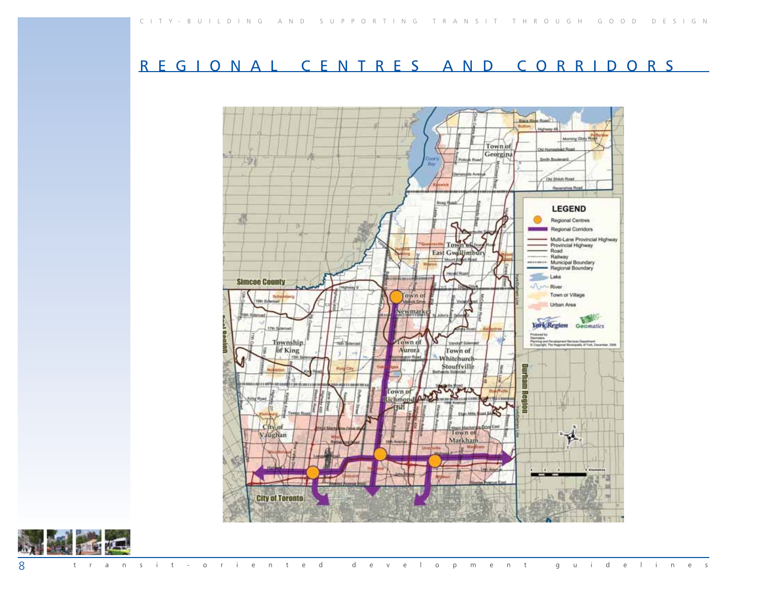# REGIONAL CENTRES AND CORRIDORS



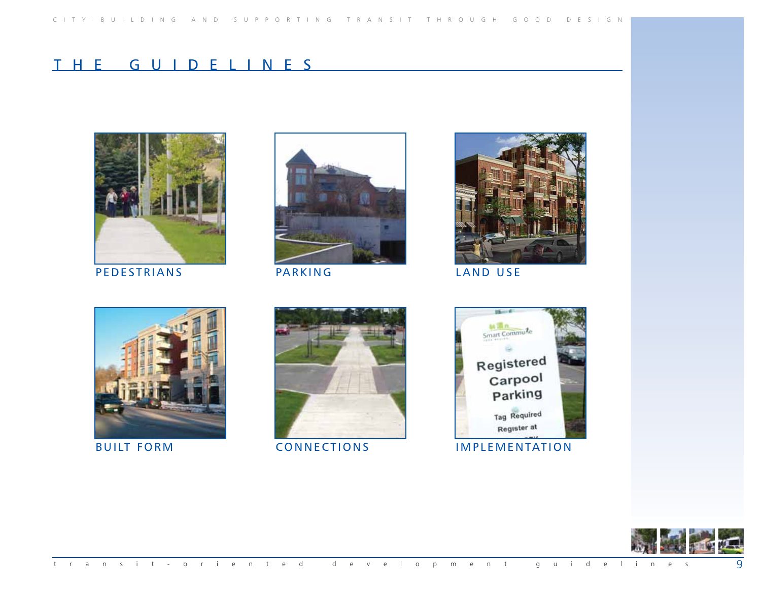# THE GUIDELINES



PEDESTRIANS PARKING LAND USE











BUILT FORM CONNECTIONS IMPLEMENTATION

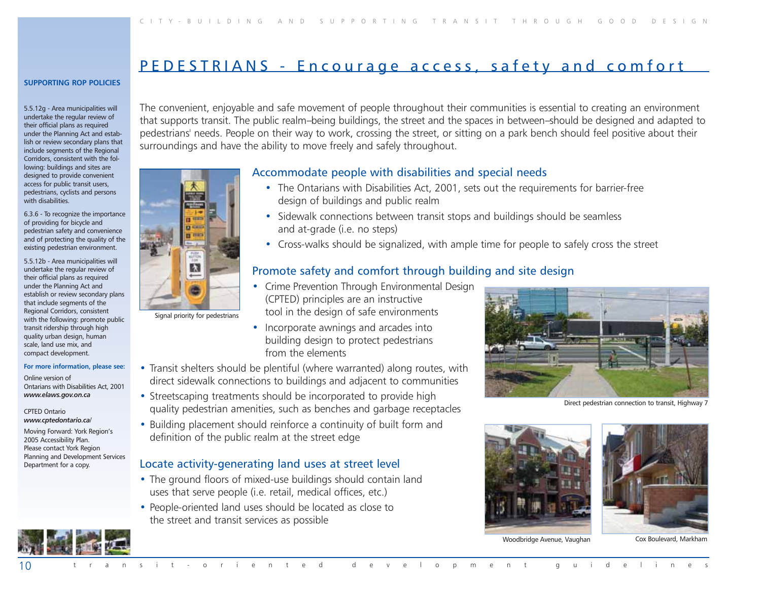# PEDESTRIANS - Encourage access, safety and comfort

#### **SUPPORTING ROP POLICIES**

5.5.12g - Area municipalities will undertake the regular review of their official plans as required under the Planning Act and establish or review secondary plans that include segments of the Regional Corridors, consistent with the following: buildings and sites are designed to provide convenient access for public transit users, pedestrians, cyclists and persons with disabilities.

6.3.6 - To recognize the importance of providing for bicycle and pedestrian safety and convenience and of protecting the quality of the existing pedestrian environment.

5.5.12b - Area municipalities will undertake the regular review of their official plans as required under the Planning Act and establish or review secondary plans that include segments of the Regional Corridors, consistent with the following: promote public transit ridership through high quality urban design, human scale, land use mix, and compact development.

#### **For more information, please see:**

Online version of Ontarians with Disabilities Act, 2001 *www.elaws.gov.on.ca*

#### CPTED Ontario *www.cptedontario.ca/*

Moving Forward: York Region's 2005 Accessibility Plan. Please contact York Region Planning and Development Services Department for a copy.



Signal priority for pedestrians

- Incorporate awnings and arcades into building design to protect pedestrians
- Transit shelters should be plentiful (where warranted) along routes, with direct sidewalk connections to buildings and adjacent to communities
- Streetscaping treatments should be incorporated to provide high quality pedestrian amenities, such as benches and garbage receptacles
- Building placement should reinforce a continuity of built form and definition of the public realm at the street edge

### Locate activity-generating land uses at street level

- The ground floors of mixed-use buildings should contain land uses that serve people (i.e. retail, medical offices, etc.)
- People-oriented land uses should be located as close to the street and transit services as possible



Direct pedestrian connection to transit, Highway 7





Woodbridge Avenue, Vaughan Cox Boulevard, Markham



The convenient, enjoyable and safe movement of people throughout their communities is essential to creating an environment

# Accommodate people with disabilities and special needs

- The Ontarians with Disabilities Act, 2001, sets out the requirements for barrier-free design of buildings and public realm
- Sidewalk connections between transit stops and buildings should be seamless and at-grade (i.e. no steps)
- Cross-walks should be signalized, with ample time for people to safely cross the street

## Promote safety and comfort through building and site design

- Crime Prevention Through Environmental Design (CPTED) principles are an instructive tool in the design of safe environments
- from the elements
- -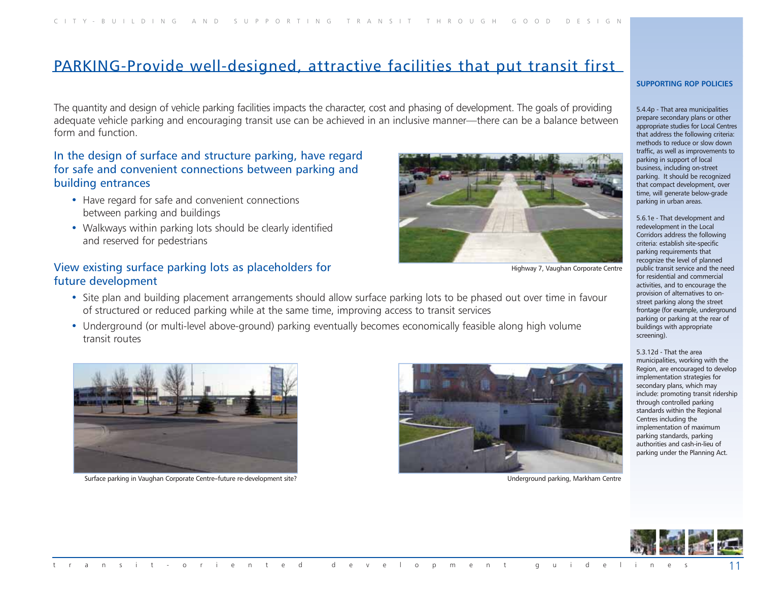# PARKING-Provide well-designed, attractive facilities that put transit first

The quantity and design of vehicle parking facilities impacts the character, cost and phasing of development. The goals of providing adequate vehicle parking and encouraging transit use can be achieved in an inclusive manner—there can be a balance between form and function.

## In the design of surface and structure parking, have regard for safe and convenient connections between parking and building entrances

- Have regard for safe and convenient connections between parking and buildings
- Walkways within parking lots should be clearly identified and reserved for pedestrians

## View existing surface parking lots as placeholders for future development



Highway 7, Vaughan Corporate Centre

- Site plan and building placement arrangements should allow surface parking lots to be phased out over time in favour of structured or reduced parking while at the same time, improving access to transit services
- Underground (or multi-level above-ground) parking eventually becomes economically feasible along high volume transit routes



Surface parking in Vaughan Corporate Centre--future re-development site? Underground parking, Markham Centre



#### **SUPPORTING ROP POLICIES**

5.4.4p - That area municipalities prepare secondary plans or other appropriate studies for Local Centres that address the following criteria: methods to reduce or slow down traffic, as well as improvements to parking in support of local business, including on-street parking. It should be recognized that compact development, over time, will generate below-grade parking in urban areas.

5.6.1e - That development and redevelopment in the Local Corridors address the following criteria: establish site-specific parking requirements that recognize the level of planned public transit service and the need for residential and commercial activities, and to encourage the provision of alternatives to onstreet parking along the street frontage (for example, underground parking or parking at the rear of buildings with appropriate screening).

5.3.12d - That the area municipalities, working with the Region, are encouraged to develop implementation strategies for secondary plans, which may include: promoting transit ridership through controlled parking standards within the Regional Centres including the implementation of maximum parking standards, parking authorities and cash-in-lieu of parking under the Planning Act.

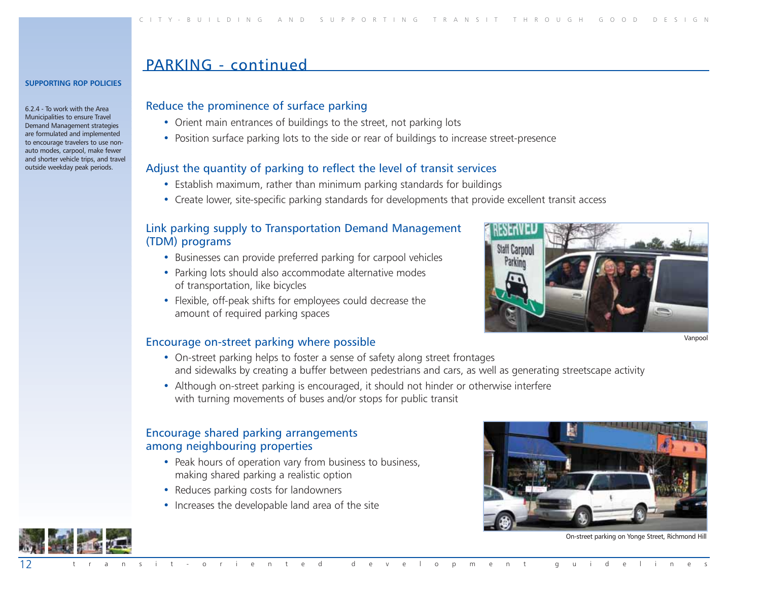# PARKING - continued

#### **SUPPORTING ROP POLICIES**

6.2.4 - To work with the Area Municipalities to ensure Travel Demand Management strategies are formulated and implemented to encourage travelers to use nonauto modes, carpool, make fewer and shorter vehicle trips, and travel outside weekday peak periods.

## Reduce the prominence of surface parking

- Orient main entrances of buildings to the street, not parking lots
- Position surface parking lots to the side or rear of buildings to increase street-presence

## Adjust the quantity of parking to reflect the level of transit services

- Establish maximum, rather than minimum parking standards for buildings
- Create lower, site-specific parking standards for developments that provide excellent transit access

## Link parking supply to Transportation Demand Management (TDM) programs

- Businesses can provide preferred parking for carpool vehicles
- Parking lots should also accommodate alternative modes of transportation, like bicycles
- Flexible, off-peak shifts for employees could decrease the amount of required parking spaces

## Encourage on-street parking where possible

- On-street parking helps to foster a sense of safety along street frontages and sidewalks by creating a buffer between pedestrians and cars, as well as generating streetscape activity
- Although on-street parking is encouraged, it should not hinder or otherwise interfere with turning movements of buses and/or stops for public transit

## Encourage shared parking arrangements among neighbouring properties

- Peak hours of operation vary from business to business, making shared parking a realistic option
- Reduces parking costs for landowners
- Increases the developable land area of the site



On-street parking on Yonge Street, Richmond Hill



Vanpool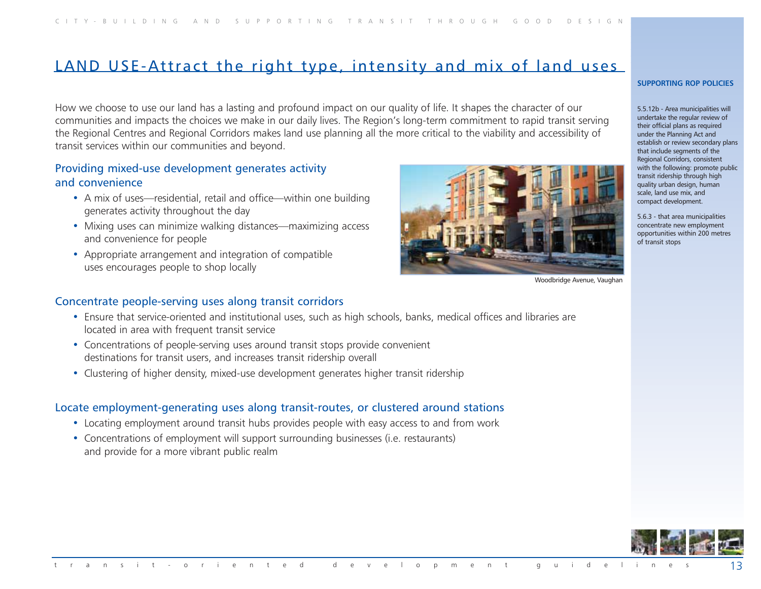# LAND USE-Attract the right type, intensity and mix of land uses

How we choose to use our land has a lasting and profound impact on our quality of life. It shapes the character of our communities and impacts the choices we make in our daily lives. The Region's long-term commitment to rapid transit serving the Regional Centres and Regional Corridors makes land use planning all the more critical to the viability and accessibility of transit services within our communities and beyond.

• Ensure that service-oriented and institutional uses, such as high schools, banks, medical offices and libraries are

## Providing mixed-use development generates activity and convenience

- A mix of uses—residential, retail and office—within one building generates activity throughout the day
- Mixing uses can minimize walking distances—maximizing access and convenience for people

• Concentrations of people-serving uses around transit stops provide convenient

• Clustering of higher density, mixed-use development generates higher transit ridership

• Concentrations of employment will support surrounding businesses (i.e. restaurants)

Locate employment-generating uses along transit-routes, or clustered around stations • Locating employment around transit hubs provides people with easy access to and from work

destinations for transit users, and increases transit ridership overall

• Appropriate arrangement and integration of compatible uses encourages people to shop locally

### Concentrate people-serving uses along transit corridors

located in area with frequent transit service

and provide for a more vibrant public realm

Woodbridge Avenue, Vaughan

**SUPPORTING ROP POLICIES**

5.5.12b - Area municipalities will undertake the regular review of their official plans as required under the Planning Act and establish or review secondary plans that include segments of the Regional Corridors, consistent with the following: promote public transit ridership through high quality urban design, human scale, land use mix, and compact development.

5.6.3 - that area municipalities concentrate new employment opportunities within 200 metres of transit stops

ansit-oriented development guidelin

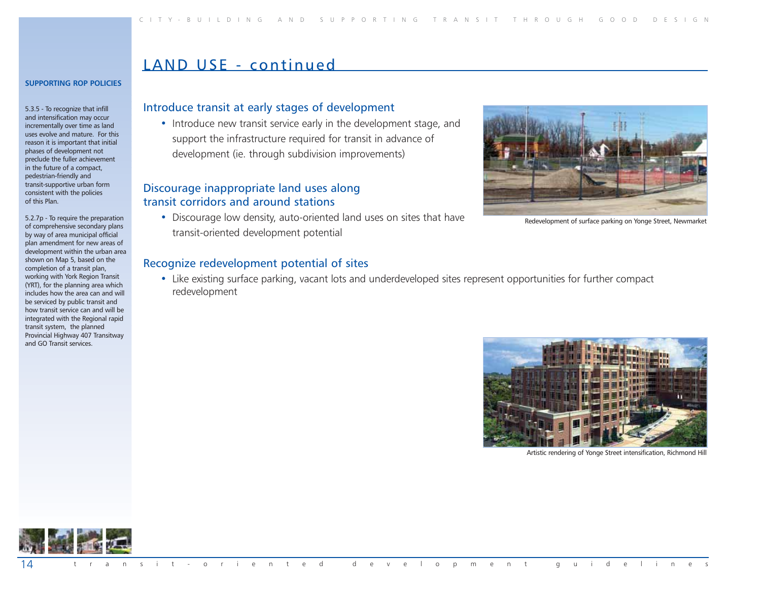# LAND USE - continued

#### **SUPPORTING ROP POLICIES**

5.3.5 - To recognize that infill and intensification may occur incrementally over time as land uses evolve and mature. For this reason it is important that initial phases of development not preclude the fuller achievement in the future of a compact, pedestrian-friendly and transit-supportive urban form consistent with the policies of this Plan.

5.2.7p - To require the preparation of comprehensive secondary plans by way of area municipal official plan amendment for new areas of development within the urban area shown on Map 5, based on the completion of a transit plan, working with York Region Transit (YRT), for the planning area which includes how the area can and will be serviced by public transit and how transit service can and will be integrated with the Regional rapid transit system, the planned Provincial Highway 407 Transitway and GO Transit services.

#### Introduce transit at early stages of development

• Introduce new transit service early in the development stage, and support the infrastructure required for transit in advance of development (ie. through subdivision improvements)

#### Discourage inappropriate land uses along transit corridors and around stations

• Discourage low density, auto-oriented land uses on sites that have transit-oriented development potential



Redevelopment of surface parking on Yonge Street, Newmarket

#### Recognize redevelopment potential of sites

• Like existing surface parking, vacant lots and underdeveloped sites represent opportunities for further compact redevelopment



Artistic rendering of Yonge Street intensification, Richmond Hill

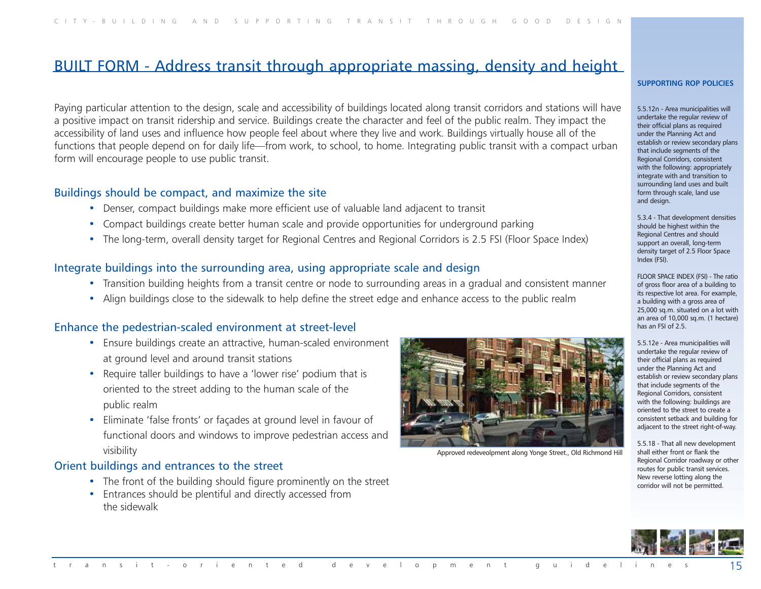# BUILT FORM - Address transit through appropriate massing, density and height

Paying particular attention to the design, scale and accessibility of buildings located along transit corridors and stations will have a positive impact on transit ridership and service. Buildings create the character and feel of the public realm. They impact th e accessibility of land uses and influence how people feel about where they live and work. Buildings virtually house all of the functions that people depend on for daily life—from work, to school, to home. Integrating public transit with a compact urban form will encourage people to use public transit.

### Buildings should be compact, and maximize the site

- Denser, compact buildings make more efficient use of valuable land adjacent to transit
- Compact buildings create better human scale and provide opportunities for underground parking
- The long-term, overall density target for Regional Centres and Regional Corridors is 2.5 FSI (Floor Space Index)

### Integrate buildings into the surrounding area, using appropriate scale and design

- Transition building heights from a transit centre or node to surrounding areas in a gradual and consistent manner
- Align buildings close to the sidewalk to help define the street edge and enhance access to the public realm

## Enhance the pedestrian-scaled environment at street-level

- Ensure buildings create an attractive, human-scaled environment at ground level and around transit stations
- Require taller buildings to have a 'lower rise' podium that is oriented to the street adding to the human scale of the public realm
- Eliminate 'false fronts' or façades at ground level in favour of functional doors and windows to improve pedestrian access and visibility

## Orient buildings and entrances to the street

- The front of the building should figure prominently on the street
- Entrances should be plentiful and directly accessed from the sidewalk



Approved redeveolpment along Yonge Street., Old Richmond Hill

#### **SUPPORTING ROP POLICIES**

5.5.12n - Area municipalities will undertake the regular review of their official plans as required under the Planning Act and establish or review secondary plans that include segments of the Regional Corridors, consistent with the following: appropriately integrate with and transition to surrounding land uses and built form through scale, land use and design.

5.3.4 - That development densities should be highest within the Regional Centres and should support an overall, long-term density target of 2.5 Floor Space Index (FSI).

FLOOR SPACE INDEX (FSI) - The ratio of gross floor area of a building to its respective lot area. For example, a building with a gross area of 25,000 sq.m. situated on a lot with an area of 10,000 sq.m. (1 hectare) has an FSI of 2.5.

5.5.12e - Area municipalities will undertake the regular review of their official plans as required under the Planning Act and establish or review secondary plans that include segments of the Regional Corridors, consistent with the following: buildings are oriented to the street to create a consistent setback and building for adjacent to the street right-of-way.

5.5.18 - That all new development shall either front or flank the Regional Corridor roadway or other routes for public transit services. New reverse lotting along the corridor will not be permitted.

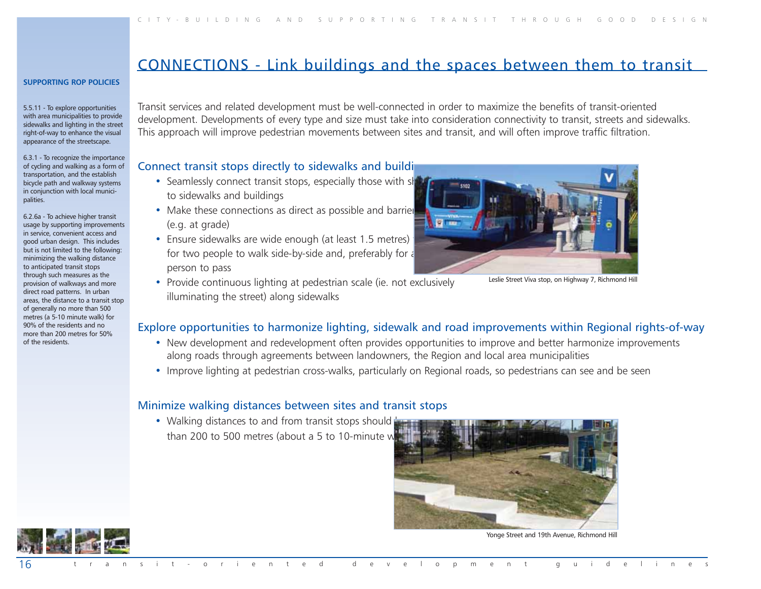# CONNECTIONS - Link buildings and the spaces between them to transit

#### **SUPPORTING ROP POLICIES**

5.5.11 - To explore opportunities with area municipalities to provide sidewalks and lighting in the street right-of-way to enhance the visual appearance of the streetscape.

6.3.1 - To recognize the importance of cycling and walking as a form of transportation, and the establish bicycle path and walkway systems in conjunction with local municipalities.

6.2.6a - To achieve higher transit usage by supporting improvements in service, convenient access and good urban design. This includes but is not limited to the following: minimizing the walking distance to anticipated transit stops through such measures as the provision of walkways and more direct road patterns. In urban areas, the distance to a transit stop of generally no more than 500 metres (a 5-10 minute walk) for 90% of the residents and no more than 200 metres for 50% of the residents.

Transit services and related development must be well-connected in order to maximize the benefits of transit-oriented development. Developments of every type and size must take into consideration connectivity to transit, streets and sidewalks. This approach will improve pedestrian movements between sites and transit, and will often improve traffic filtration.

#### Connect transit stops directly to sidewalks and buildi

- Seamlessly connect transit stops, especially those with shelters, to sidewalks and buildings
- Make these connections as direct as possible and barrier $\blacksquare$ (e.g. at grade)
- Ensure sidewalks are wide enough (at least 1.5 metres) for two people to walk side-by-side and, preferably for  $\epsilon$ person to pass
- Provide continuous lighting at pedestrian scale (ie. not exclusively illuminating the street) along sidewalks



Leslie Street Viva stop, on Highway 7, Richmond Hill

### Explore opportunities to harmonize lighting, sidewalk and road improvements within Regional rights-of-way

- New development and redevelopment often provides opportunities to improve and better harmonize improvements along roads through agreements between landowners, the Region and local area municipalities
- Improve lighting at pedestrian cross-walks, particularly on Regional roads, so pedestrians can see and be seen

#### Minimize walking distances between sites and transit stops

• Walking distances to and from transit stops should  $\frac{1}{2}$ than 200 to 500 metres (about a 5 to 10-minute w



Yonge Street and 19th Avenue, Richmond Hill

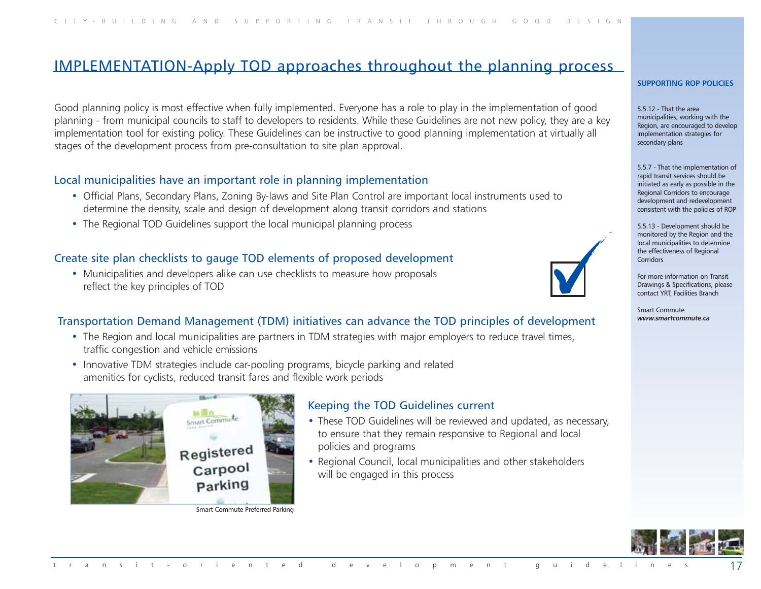# IMPLEMENTATION-Apply TOD approaches throughout the planning process

Good planning policy is most effective when fully implemented. Everyone has a role to play in the implementation of good planning - from municipal councils to staff to developers to residents. While these Guidelines are not new policy, they are a key implementation tool for existing policy. These Guidelines can be instructive to good planning implementation at virtually all stages of the development process from pre-consultation to site plan approval.

## Local municipalities have an important role in planning implementation

- Official Plans, Secondary Plans, Zoning By-laws and Site Plan Control are important local instruments used to determine the density, scale and design of development along transit corridors and stations
- The Regional TOD Guidelines support the local municipal planning process

#### Create site plan checklists to gauge TOD elements of proposed development

• Municipalities and developers alike can use checklists to measure how proposals reflect the key principles of TOD



## Transportation Demand Management (TDM) initiatives can advance the TOD principles of development

- The Region and local municipalities are partners in TDM strategies with major employers to reduce travel times, traffic congestion and vehicle emissions
- Innovative TDM strategies include car-pooling programs, bicycle parking and related amenities for cyclists, reduced transit fares and flexible work periods



#### Smart Commute Preferred Parking

#### Keeping the TOD Guidelines current

- These TOD Guidelines will be reviewed and updated, as necessary, to ensure that they remain responsive to Regional and local policies and programs
- Regional Council, local municipalities and other stakeholders will be engaged in this process

#### **SUPPORTING ROP POLICIES**

5.5.12 - That the area municipalities, working with the Region, are encouraged to develop implementation strategies for secondary plans

5.5.7 - That the implementation of rapid transit services should be initiated as early as possible in the Regional Corridors to encourage development and redevelopment consistent with the policies of ROP

5.5.13 - Development should be monitored by the Region and the local municipalities to determine the effectiveness of Regional **Corridors** 

For more information on Transit Drawings & Specifications, please contact YRT, Facilities Branch

Smart Commute *www.smartcommute.ca*

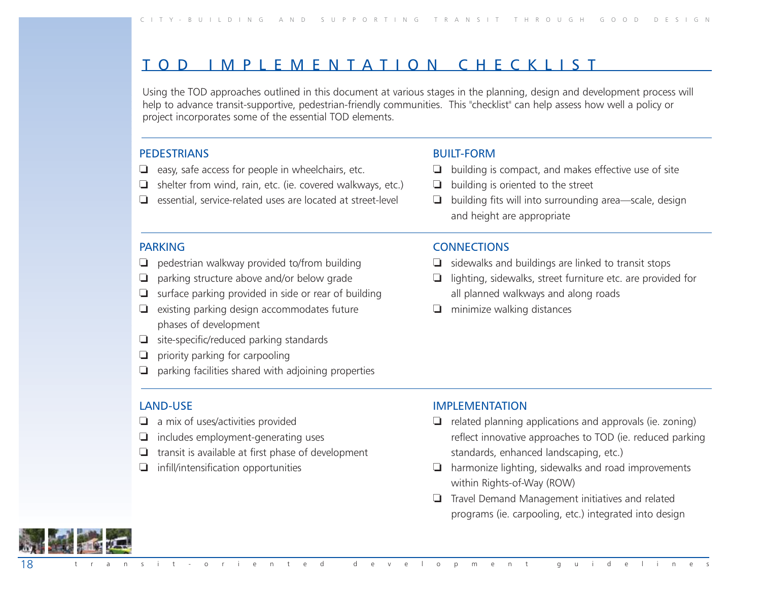# TOD IMPLEMENTATION CHECKLIST

Using the TOD approaches outlined in this document at various stages in the planning, design and development process will help to advance transit-supportive, pedestrian-friendly communities. This "checklist" can help assess how well a policy or project incorporates some of the essential TOD elements.

#### **PEDESTRIANS**

- ❏ easy, safe access for people in wheelchairs, etc.
- ❏ shelter from wind, rain, etc. (ie. covered walkways, etc.)
- ❏ essential, service-related uses are located at street-level

#### BUILT-FORM

- ❏ building is compact, and makes effective use of site
- ❏ building is oriented to the street
- ❏ building fits will into surrounding area—scale, design and height are appropriate

#### **PARKING**

- ❏ pedestrian walkway provided to/from building
- ❏ parking structure above and/or below grade
- ❏ surface parking provided in side or rear of building
- ❏ existing parking design accommodates future phases of development
- ❏ site-specific/reduced parking standards
- ❏ priority parking for carpooling
- ❏ parking facilities shared with adjoining properties

#### LAND-USE

- ❏ a mix of uses/activities provided
- ❏ includes employment-generating uses
- ❏ transit is available at first phase of development
- ❏ infill/intensification opportunities

# **CONNECTIONS**

- ❏ sidewalks and buildings are linked to transit stops
- ❏ lighting, sidewalks, street furniture etc. are provided for all planned walkways and along roads
- ❏ minimize walking distances

#### IMPI FMFNTATION

- ❏ related planning applications and approvals (ie. zoning) reflect innovative approaches to TOD (ie. reduced parking standards, enhanced landscaping, etc.)
- ❏ harmonize lighting, sidewalks and road improvements within Rights-of-Way (ROW)
- ❏ Travel Demand Management initiatives and related programs (ie. carpooling, etc.) integrated into design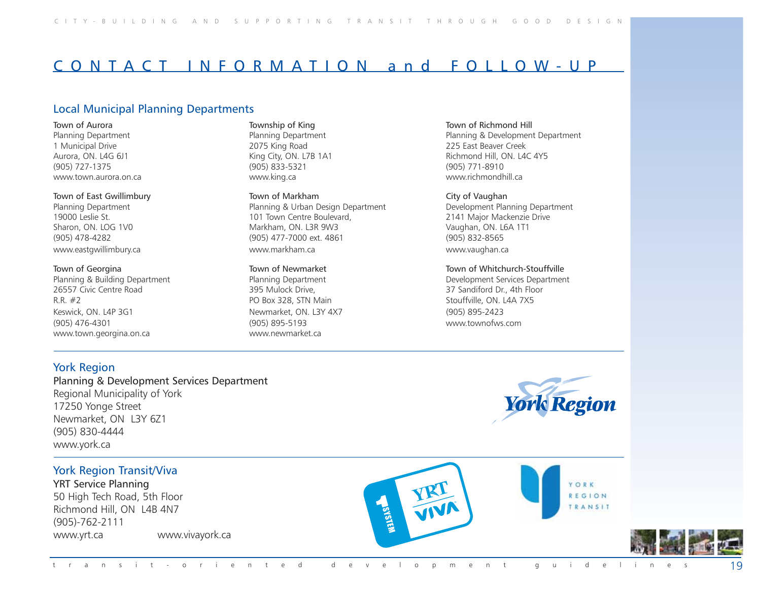# CONTACT INFORMATION and FOLLOW-UP

#### Local Municipal Planning Departments

1 Municipal Drive 2075 King Road 225 East Beaver Creek (905) 727-1375 (905) 833-5321 (905) 771-8910 www.town.aurora.on.ca www.king.ca www.richmondhill.ca

R.R. #2 **PO Box 328, STN Main** Stouffville, ON, L4A 7X5 Keswick, ON. L4P 3G1 Newmarket, ON. L3Y 4X7 (905) 895-2423 (905) 476-4301 (905) 895-5193 www.townofws.com www.town.georgina.on.ca www.newmarket.ca

Town of East Gwillimbury Town of Markham Town of Markham City of Vaughan Planning Department Planning & Urban Design Department Development Planning Department 19000 Leslie St. 101 Town Centre Boulevard, 2141 Major Mackenzie Drive Sharon, ON. LOG 1V0 **Markham, ON. L3R 9W3** Vaughan, ON. L6A 1T1 (905) 478-4282 (905) 477-7000 ext. 4861 (905) 832-8565 www.eastgwillimbury.ca www.markham.ca www.vaughan.ca

#### Town of Aurora Township of King Town of Richmond Hill

Planning Department Planning Department Planning & Development Department Aurora, ON. L4G 6J1 **King City, ON. L7B 1A1** Richmond Hill, ON. L4C 4Y5

#### Town of Georgina Town of Newmarket Town of Whitchurch-Stouffville

Planning & Building Department **Planning Department** Planning Department Planning Development Services Department<br>Planning & Building Department Planning Department Planning Department Planning Development Services Departm 265 Mulock Drive, 205 Centre Road 37 Sandiford Dr., 4th Floor

## York Region

Planning & Development Services Department Regional Municipality of York 17250 Yonge Street Newmarket, ON L3Y 6Z1 (905) 830-4444 www.york.ca

#### York Region Transit/Viva

YRT Service Planning 50 High Tech Road, 5th Floor Richmond Hill, ON L4B 4N7 (905)-762-2111 www.yrt.ca www.vivayork.ca **ISISTER** 



YORK REGION TRANSIT